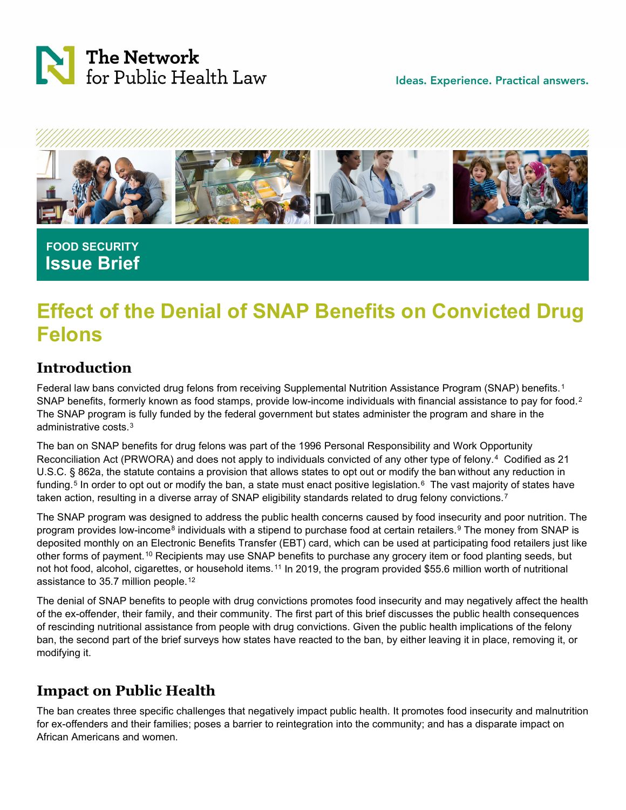



 **FOOD SECURITY Issue Brief**

# **Effect of the Denial of SNAP Benefits on Convicted Drug Felons**

## **Introduction**

Federal law bans convicted drug felons from receiving Supplemental Nutrition Assistance Program (SNAP) benefits.<sup>[1](#page-3-0)</sup> SNAP benefits, formerly known as food stamps, provide low-income individuals with financial assistance to pay for food.<sup>2</sup> The SNAP program is fully funded by the federal government but states administer the program and share in the administrative costs.[3](#page-3-2)

The ban on SNAP benefits for drug felons was part of the 1996 Personal Responsibility and Work Opportunity Reconciliation Act (PRWORA) and does not apply to individuals convicted of any other type of felony.[4](#page-3-3) Codified as 21 U.S.C. § 862a, the statute contains a provision that allows states to opt out or modify the ban without any reduction in funding.<sup>[5](#page-3-4)</sup> In order to opt out or modify the ban, a state must enact positive legislation.<sup>6</sup> The vast majority of states have taken action, resulting in a diverse array of SNAP eligibility standards related to drug felony convictions.<sup>[7](#page-3-6)</sup>

The SNAP program was designed to address the public health concerns caused by food insecurity and poor nutrition. The program provides low-income<sup>[8](#page-3-7)</sup> individuals with a stipend to purchase food at certain retailers.<sup>[9](#page-3-8)</sup> The money from SNAP is deposited monthly on an Electronic Benefits Transfer (EBT) card, which can be used at participating food retailers just like other forms of payment.[10](#page-3-9) Recipients may use SNAP benefits to purchase any grocery item or food planting seeds, but not hot food, alcohol, cigarettes, or household items.<sup>[11](#page-3-10)</sup> In 2019, the program provided \$55.6 million worth of nutritional assistance to 35.7 million people.<sup>[12](#page-3-11)</sup>

The denial of SNAP benefits to people with drug convictions promotes food insecurity and may negatively affect the health of the ex-offender, their family, and their community. The first part of this brief discusses the public health consequences of rescinding nutritional assistance from people with drug convictions. Given the public health implications of the felony ban, the second part of the brief surveys how states have reacted to the ban, by either leaving it in place, removing it, or modifying it.

## **Impact on Public Health**

The ban creates three specific challenges that negatively impact public health. It promotes food insecurity and malnutrition for ex-offenders and their families; poses a barrier to reintegration into the community; and has a disparate impact on African Americans and women.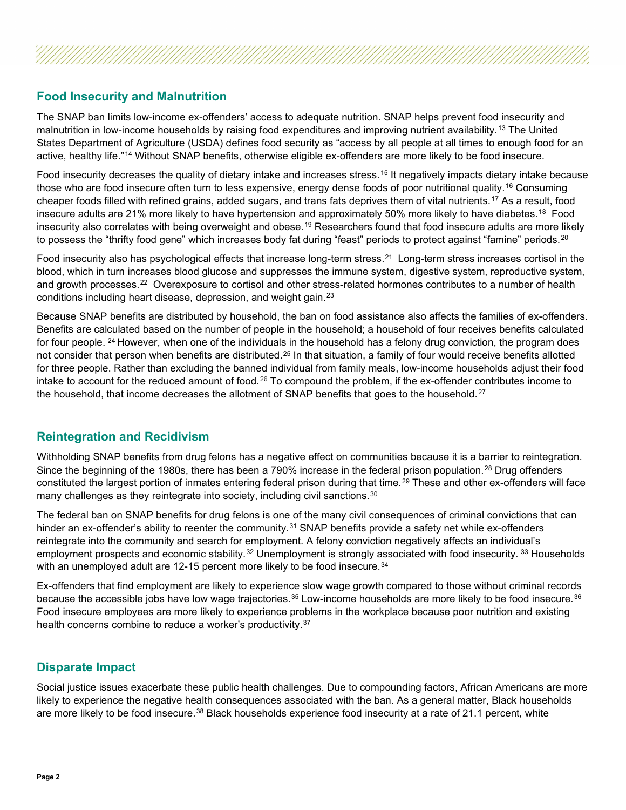### **Food Insecurity and Malnutrition**

The SNAP ban limits low-income ex-offenders' access to adequate nutrition. SNAP helps prevent food insecurity and malnutrition in low-income households by raising food expenditures and improving nutrient availability.[13](#page-3-12) The United States Department of Agriculture (USDA) defines food security as "access by all people at all times to enough food for an active, healthy life."[14](#page-3-13) Without SNAP benefits, otherwise eligible ex-offenders are more likely to be food insecure.

Food insecurity decreases the quality of dietary intake and increases stress.[15](#page-4-0) It negatively impacts dietary intake because those who are food insecure often turn to less expensive, energy dense foods of poor nutritional quality.<sup>[16](#page-4-1)</sup> Consuming cheaper foods filled with refined grains, added sugars, and trans fats deprives them of vital nutrients.<sup>[17](#page-4-2)</sup> As a result, food insecure adults are 21% more likely to have hypertension and approximately 50% more likely to have diabetes.<sup>[18](#page-4-3)</sup> Food insecurity also correlates with being overweight and obese.<sup>[19](#page-4-4)</sup> Researchers found that food insecure adults are more likely to possess the "thrifty food gene" which increases body fat during "feast" periods to protect against "famine" periods.<sup>[20](#page-4-5)</sup>

Food insecurity also has psychological effects that increase long-term stress.[21](#page-4-6) Long-term stress increases cortisol in the blood, which in turn increases blood glucose and suppresses the immune system, digestive system, reproductive system, and growth processes.[22](#page-4-7) Overexposure to cortisol and other stress-related hormones contributes to a number of health conditions including heart disease, depression, and weight gain.[23](#page-4-8)

Because SNAP benefits are distributed by household, the ban on food assistance also affects the families of ex-offenders. Benefits are calculated based on the number of people in the household; a household of four receives benefits calculated for four people. <sup>[24](#page-4-9)</sup> However, when one of the individuals in the household has a felony drug conviction, the program does not consider that person when benefits are distributed.<sup>[25](#page-4-10)</sup> In that situation, a family of four would receive benefits allotted for three people. Rather than excluding the banned individual from family meals, low-income households adjust their food intake to account for the reduced amount of food.<sup>[26](#page-4-11)</sup> To compound the problem, if the ex-offender contributes income to the household, that income decreases the allotment of SNAP benefits that goes to the household.<sup>[27](#page-4-12)</sup>

#### **Reintegration and Recidivism**

Withholding SNAP benefits from drug felons has a negative effect on communities because it is a barrier to reintegration. Since the beginning of the 1980s, there has been a 790% increase in the federal prison population.<sup>[28](#page-4-13)</sup> Drug offenders constituted the largest portion of inmates entering federal prison during that time.[29](#page-4-14) These and other ex-offenders will face many challenges as they reintegrate into society, including civil sanctions.<sup>[30](#page-4-15)</sup>

The federal ban on SNAP benefits for drug felons is one of the many civil consequences of criminal convictions that can hinder an ex-offender's ability to reenter the community.<sup>[31](#page-4-16)</sup> SNAP benefits provide a safety net while ex-offenders reintegrate into the community and search for employment. A felony conviction negatively affects an individual's employment prospects and economic stability.<sup>[32](#page-4-17)</sup> Unemployment is strongly associated with food insecurity.<sup>[33](#page-4-18)</sup> Households with an unemployed adult are 12-15 percent more likely to be food insecure.<sup>[34](#page-4-19)</sup>

Ex-offenders that find employment are likely to experience slow wage growth compared to those without criminal records because the accessible jobs have low wage trajectories.[35](#page-4-20) Low-income households are more likely to be food insecure.[36](#page-4-21) Food insecure employees are more likely to experience problems in the workplace because poor nutrition and existing health concerns combine to reduce a worker's productivity.<sup>[37](#page-4-22)</sup>

#### **Disparate Impact**

Social justice issues exacerbate these public health challenges. Due to compounding factors, African Americans are more likely to experience the negative health consequences associated with the ban. As a general matter, Black households are more likely to be food insecure.<sup>[38](#page-4-23)</sup> Black households experience food insecurity at a rate of 21.1 percent, white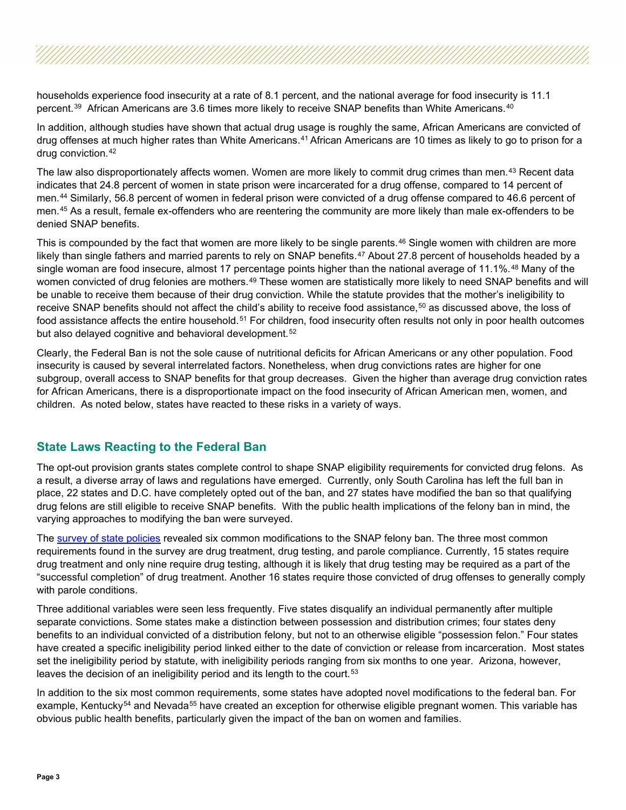households experience food insecurity at a rate of 8.1 percent, and the national average for food insecurity is 11.1 percent.[39](#page-4-24) African Americans are 3.6 times more likely to receive SNAP benefits than White Americans.[40](#page-4-25)

In addition, although studies have shown that actual drug usage is roughly the same, African Americans are convicted of drug offenses at much higher rates than White Americans.<sup>[41](#page-4-26)</sup> African Americans are 10 times as likely to go to prison for a drug conviction.[42](#page-4-27)

The law also disproportionately affects women. Women are more likely to commit drug crimes than men.<sup>[43](#page-4-28)</sup> Recent data indicates that 24.8 percent of women in state prison were incarcerated for a drug offense, compared to 14 percent of men.[44](#page-5-0) Similarly, 56.8 percent of women in federal prison were convicted of a drug offense compared to 46.6 percent of men.[45](#page-5-1) As a result, female ex-offenders who are reentering the community are more likely than male ex-offenders to be denied SNAP benefits.

This is compounded by the fact that women are more likely to be single parents.<sup>[46](#page-5-2)</sup> Single women with children are more likely than single fathers and married parents to rely on SNAP benefits.<sup>[47](#page-5-3)</sup> About 27.8 percent of households headed by a single woman are food insecure, almost 17 percentage points higher than the national average of 11.1%.<sup>[48](#page-5-4)</sup> Many of the women convicted of drug felonies are mothers.<sup>[49](#page-5-5)</sup> These women are statistically more likely to need SNAP benefits and will be unable to receive them because of their drug conviction. While the statute provides that the mother's ineligibility to receive SNAP benefits should not affect the child's ability to receive food assistance,<sup>[50](#page-5-6)</sup> as discussed above, the loss of food assistance affects the entire household.<sup>[51](#page-5-7)</sup> For children, food insecurity often results not only in poor health outcomes but also delayed cognitive and behavioral development.<sup>[52](#page-5-8)</sup>

Clearly, the Federal Ban is not the sole cause of nutritional deficits for African Americans or any other population. Food insecurity is caused by several interrelated factors. Nonetheless, when drug convictions rates are higher for one subgroup, overall access to SNAP benefits for that group decreases. Given the higher than average drug conviction rates for African Americans, there is a disproportionate impact on the food insecurity of African American men, women, and children. As noted below, states have reacted to these risks in a variety of ways.

#### **State Laws Reacting to the Federal Ban**

The opt-out provision grants states complete control to shape SNAP eligibility requirements for convicted drug felons. As a result, a diverse array of laws and regulations have emerged. Currently, only South Carolina has left the full ban in place, 22 states and D.C. have completely opted out of the ban, and 27 states have modified the ban so that qualifying drug felons are still eligible to receive SNAP benefits. With the public health implications of the felony ban in mind, the varying approaches to modifying the ban were surveyed.

The [survey of state policies](https://www.networkforphl.org/wp-content/uploads/2020/04/50-State-Survey-SNAP-Felony-Ban-Updated.pdf) revealed six common modifications to the SNAP felony ban. The three most common requirements found in the survey are drug treatment, drug testing, and parole compliance. Currently, 15 states require drug treatment and only nine require drug testing, although it is likely that drug testing may be required as a part of the "successful completion" of drug treatment. Another 16 states require those convicted of drug offenses to generally comply with parole conditions.

Three additional variables were seen less frequently. Five states disqualify an individual permanently after multiple separate convictions. Some states make a distinction between possession and distribution crimes; four states deny benefits to an individual convicted of a distribution felony, but not to an otherwise eligible "possession felon." Four states have created a specific ineligibility period linked either to the date of conviction or release from incarceration. Most states set the ineligibility period by statute, with ineligibility periods ranging from six months to one year. Arizona, however, leaves the decision of an ineligibility period and its length to the court.<sup>53</sup>

In addition to the six most common requirements, some states have adopted novel modifications to the federal ban. For example, Kentucky<sup>[54](#page-5-10)</sup> and Nevada<sup>[55](#page-5-11)</sup> have created an exception for otherwise eligible pregnant women. This variable has obvious public health benefits, particularly given the impact of the ban on women and families.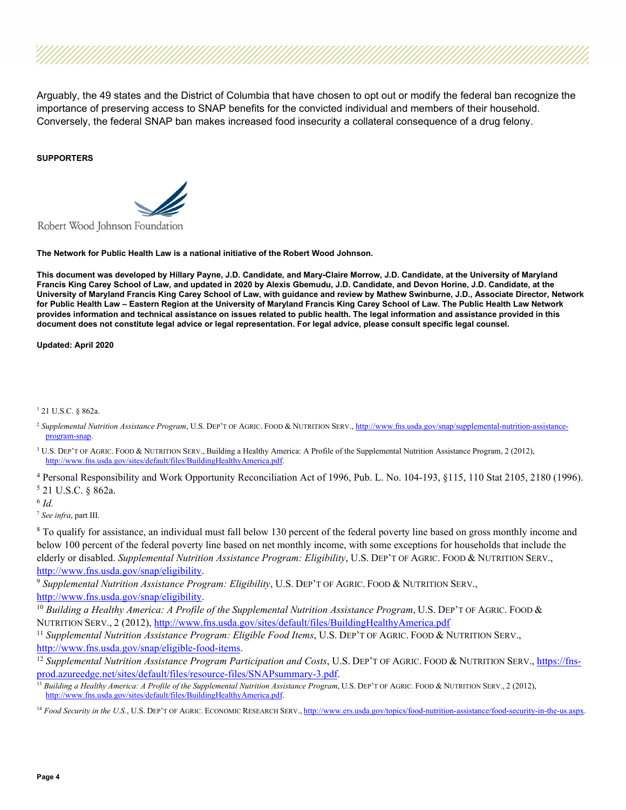Arguably, the 49 states and the District of Columbia that have chosen to opt out or modify the federal ban recognize the importance of preserving access to SNAP benefits for the convicted individual and members of their household. Conversely, the federal SNAP ban makes increased food insecurity a collateral consequence of a drug felony.

#### **SUPPORTERS**



Robert Wood Johnson Foundation

**The Network for Public Health Law is a national initiative of the Robert Wood Johnson.**

**This document was developed by Hillary Payne, J.D. Candidate, and Mary-Claire Morrow, J.D. Candidate, at the University of Maryland Francis King Carey School of Law, and updated in 2020 by Alexis Gbemudu, J.D. Candidate, and Devon Horine, J.D. Candidate, at the University of Maryland Francis King Carey School of Law, with guidance and review by Mathew Swinburne, J.D., Associate Director, Network for Public Health Law – Eastern Region at the University of Maryland Francis King Carey School of Law. The Public Health Law Network provides information and technical assistance on issues related to public health. The legal information and assistance provided in this document does not constitute legal advice or legal representation. For legal advice, please consult specific legal counsel.**

**Updated: April 2020**

<span id="page-3-0"></span><sup>1</sup> 21 U.S.C. § 862a.

- <span id="page-3-1"></span><sup>2</sup> Supplemental Nutrition Assistance Program, U.S. DEP'T OF AGRIC. FOOD & NUTRITION SERV., [http://www.fns.usda.gov/snap/supplemental-nutrition-assistance](http://www.fns.usda.gov/snap/supplemental-nutrition-assistance-program-snap)[program-snap.](http://www.fns.usda.gov/snap/supplemental-nutrition-assistance-program-snap)
- <span id="page-3-2"></span><sup>3</sup> U.S. DEP'T OF AGRIC. FOOD & NUTRITION SERV., Building a Healthy America: A Profile of the Supplemental Nutrition Assistance Program, 2 (2012), [http://www.fns.usda.gov/sites/default/files/BuildingHealthyAmerica.pdf.](http://www.fns.usda.gov/sites/default/files/BuildingHealthyAmerica.pdf)
- <span id="page-3-4"></span><span id="page-3-3"></span><sup>4</sup> Personal Responsibility and Work Opportunity Reconciliation Act of 1996, Pub. L. No. 104-193, §115, 110 Stat 2105, 2180 (1996). <sup>5</sup> 21 U.S.C. § 862a.

<span id="page-3-5"></span><sup>6</sup> *Id.*

<span id="page-3-6"></span><sup>7</sup> *See infra*, part III.

<span id="page-3-7"></span><sup>8</sup> To qualify for assistance, an individual must fall below 130 percent of the federal poverty line based on gross monthly income and below 100 percent of the federal poverty line based on net monthly income, with some exceptions for households that include the elderly or disabled. *Supplemental Nutrition Assistance Program: Eligibility*, U.S. DEP'T OF AGRIC. FOOD & NUTRITION SERV., [http://www.fns.usda.gov/snap/eligibility.](http://www.fns.usda.gov/snap/eligibility)

<span id="page-3-8"></span><sup>9</sup> *Supplemental Nutrition Assistance Program: Eligibility*, U.S. DEP'T OF AGRIC. FOOD & NUTRITION SERV., [http://www.fns.usda.gov/snap/eligibility.](http://www.fns.usda.gov/snap/eligibility)

<span id="page-3-9"></span><sup>10</sup> *Building a Healthy America: A Profile of the Supplemental Nutrition Assistance Program*, U.S. DEP'T OF AGRIC. FOOD & NUTRITION SERV., 2 (2012)[, http://www.fns.usda.gov/sites/default/files/BuildingHealthyAmerica.pdf](http://www.fns.usda.gov/sites/default/files/BuildingHealthyAmerica.pdf)

<span id="page-3-10"></span><sup>11</sup> Supplemental Nutrition Assistance Program: Eligible Food Items, U.S. DEP'T OF AGRIC. FOOD & NUTRITION SERV., [http://www.fns.usda.gov/snap/eligible-food-items.](http://www.fns.usda.gov/snap/eligible-food-items)

<span id="page-3-11"></span><sup>12</sup> Supplemental Nutrition Assistance Program Participation and Costs, U.S. DEP'T OF AGRIC. FOOD & NUTRITION SERV., [https://fns](https://fns-prod.azureedge.net/sites/default/files/resource-files/SNAPsummary-3.pdf)[prod.azureedge.net/sites/default/files/resource-files/SNAPsummary-3.pdf.](https://fns-prod.azureedge.net/sites/default/files/resource-files/SNAPsummary-3.pdf)

<span id="page-3-12"></span><sup>13</sup> Building a Healthy America: A Profile of the Supplemental Nutrition Assistance Program, U.S. DEP'T OF AGRIC. FOOD & NUTRITION SERV., 2 (2012), [http://www.fns.usda.gov/sites/default/files/BuildingHealthyAmerica.pdf.](http://www.fns.usda.gov/sites/default/files/BuildingHealthyAmerica.pdf)

<span id="page-3-13"></span><sup>14</sup> Food Security in the U.S., U.S. DEP'T OF AGRIC. ECONOMIC RESEARCH SERV., [http://www.ers.usda.gov/topics/food-nutrition-assistance/food-security-in-the-us.aspx.](http://www.ers.usda.gov/topics/food-nutrition-assistance/food-security-in-the-us.aspx)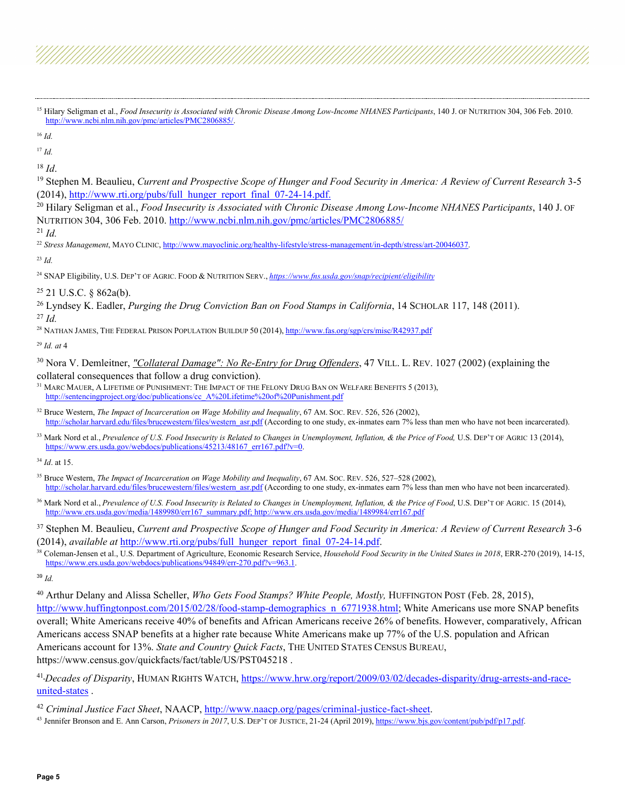<span id="page-4-3"></span><sup>18</sup> *Id*.

<span id="page-4-4"></span><sup>19</sup> Stephen M. Beaulieu, *Current and Prospective Scope of Hunger and Food Security in America: A Review of Current Research* 3-5 (2014)[, http://www.rti.org/pubs/full\\_hunger\\_report\\_final\\_07-24-14.pdf.](http://www.rti.org/pubs/full_hunger_report_final_07-24-14.pdf.)

<span id="page-4-5"></span><sup>20</sup> Hilary Seligman et al., *Food Insecurity is Associated with Chronic Disease Among Low-Income NHANES Participants*, 140 J. OF NUTRITION 304, 306 Feb. 2010[. http://www.ncbi.nlm.nih.gov/pmc/articles/PMC2806885/](http://www.ncbi.nlm.nih.gov/pmc/articles/PMC2806885/)

<span id="page-4-6"></span><sup>21</sup> *Id.*

<span id="page-4-7"></span><sup>22</sup> *Stress Management*, MAYO CLINIC[, http://www.mayoclinic.org/healthy-lifestyle/stress-management/in-depth/stress/art-20046037.](http://www.mayoclinic.org/healthy-lifestyle/stress-management/in-depth/stress/art-20046037)

<span id="page-4-8"></span><sup>23</sup> *Id.*

<span id="page-4-9"></span><sup>24</sup> SNAP Eligibility, U.S. DEP'T OF AGRIC. FOOD & NUTRITION SERV., *<https://www.fns.usda.gov/snap/recipient/eligibility>*

<span id="page-4-10"></span> $25$  21 U.S.C. § 862a(b).

<span id="page-4-12"></span><span id="page-4-11"></span><sup>26</sup> Lyndsey K. Eadler, *Purging the Drug Conviction Ban on Food Stamps in California*, 14 SCHOLAR 117, 148 (2011). <sup>27</sup> *Id.*

<span id="page-4-13"></span><sup>28</sup> NATHAN JAMES, THE FEDERAL PRISON POPULATION BUILDUP 50 (2014), <http://www.fas.org/sgp/crs/misc/R42937.pdf>

<span id="page-4-14"></span><sup>29</sup> *Id. at* 4

<span id="page-4-15"></span><sup>30</sup> Nora V. Demleitner, *"Collateral Damage": No Re-Entry for Drug Offenders*, 47 VILL. L. REV. 1027 (2002) (explaining the collateral consequences that follow a drug conviction).

<span id="page-4-16"></span><sup>31</sup> MARC MAUER, A LIFETIME OF PUNISHMENT: THE IMPACT OF THE FELONY DRUG BAN ON WELFARE BENEFITS 5 (2013), [http://sentencingproject.org/doc/publications/cc\\_A%20Lifetime%20of%20Punishment.pdf](http://sentencingproject.org/doc/publications/cc_A%20Lifetime%20of%20Punishment.pdf)

<span id="page-4-17"></span><sup>32</sup> Bruce Western, *The Impact of Incarceration on Wage Mobility and Inequality*, 67 AM. Soc. REV. 526, 526 (2002), [http://scholar.harvard.edu/files/brucewestern/files/western\\_asr.pdf](http://scholar.harvard.edu/files/brucewestern/files/western_asr.pdf) (According to one study, ex-inmates earn 7% less than men who have not been incarcerated).

<span id="page-4-18"></span><sup>33</sup> Mark Nord et al., *Prevalence of U.S. Food Insecurity is Related to Changes in Unemployment, Inflation, & the Price of Food,* U.S. DEP'T OF AGRIC 13 (2014), [https://www.ers.usda.gov/webdocs/publications/45213/48167\\_err167.pdf?v=0.](https://www.ers.usda.gov/webdocs/publications/45213/48167_err167.pdf?v=0)

<span id="page-4-19"></span><sup>34</sup> *Id*. at 15.

<span id="page-4-20"></span><sup>35</sup> Bruce Western, *The Impact of Incarceration on Wage Mobility and Inequality*, 67 AM. SOC. REV. 526, 527–528 (2002), [http://scholar.harvard.edu/files/brucewestern/files/western\\_asr.pdf](http://scholar.harvard.edu/files/brucewestern/files/western_asr.pdf) (According to one study, ex-inmates earn 7% less than men who have not been incarcerated).

<span id="page-4-21"></span><sup>36</sup> Mark Nord et al., *Prevalence of U.S. Food Insecurity is Related to Changes in Unemployment, Inflation, & the Price of Food*, U.S. DEP'T OF AGRIC. 15 (2014), [http://www.ers.usda.gov/media/1489980/err167\\_summary.pdf; http://www.ers.usda.gov/media/1489984/err167.pdf](http://www.ers.usda.gov/media/1489980/err167_summary.pdf;%20http:/www.ers.usda.gov/media/1489984/err167.pdf)

<span id="page-4-22"></span><sup>37</sup> Stephen M. Beaulieu, *Current and Prospective Scope of Hunger and Food Security in America: A Review of Current Research* 3-6 (2014), *available at* [http://www.rti.org/pubs/full\\_hunger\\_report\\_final\\_07-24-14.pdf.](http://www.rti.org/pubs/full_hunger_report_final_07-24-14.pdf)

<span id="page-4-23"></span><sup>38</sup> Coleman-Jensen et al., U.S. Department of Agriculture, Economic Research Service, *Household Food Security in the United States in 2018*, ERR-270 (2019), 14-15, [https://www.ers.usda.gov/webdocs/publications/94849/err-270.pdf?v=963.1.](https://www.ers.usda.gov/webdocs/publications/94849/err-270.pdf?v=963.1)

<span id="page-4-24"></span><sup>39</sup> *Id.*

<span id="page-4-25"></span><sup>40</sup> Arthur Delany and Alissa Scheller, *Who Gets Food Stamps? White People, Mostly,* HUFFINGTON POST (Feb. 28, 2015), http://www.huffingtonpost.com/2015/02/28/food-stamp-demographics n 6771938.html; White Americans use more SNAP benefits overall; White Americans receive 40% of benefits and African Americans receive 26% of benefits. However, comparatively, African Americans access SNAP benefits at a higher rate because White Americans make up 77% of the U.S. population and African Americans account for 13%. *State and Country Quick Facts*, THE UNITED STATES CENSUS BUREAU, https://www.census.gov/quickfacts/fact/table/US/PST045218 .

<span id="page-4-26"></span><sup>41</sup> *Decades of Disparity*, HUMAN RIGHTS WATCH, [https://www.hrw.org/report/2009/03/02/decades-disparity/drug-arrests-and-race](https://www.hrw.org/report/2009/03/02/decades-disparity/drug-arrests-and-race-united-states)[united-states](https://www.hrw.org/report/2009/03/02/decades-disparity/drug-arrests-and-race-united-states) .

<span id="page-4-28"></span><sup>43</sup> Jennifer Bronson and E. Ann Carson, *Prisoners in 2017*, U.S. DEP'T OF JUSTICE, 21-24 (April 2019)[, https://www.bjs.gov/content/pub/pdf/p17.pdf.](https://www.bjs.gov/content/pub/pdf/p17.pdf)

<span id="page-4-0"></span><sup>&</sup>lt;sup>15</sup> Hilary Seligman et al., *Food Insecurity is Associated with Chronic Disease Among Low-Income NHANES Participants*, 140 J. OF NUTRITION 304, 306 Feb. 2010. [http://www.ncbi.nlm.nih.gov/pmc/articles/PMC2806885/.](http://www.ncbi.nlm.nih.gov/pmc/articles/PMC2806885/)

<span id="page-4-1"></span><sup>16</sup> *Id.*

<span id="page-4-2"></span><sup>17</sup> *Id.*

<span id="page-4-27"></span><sup>42</sup> *Criminal Justice Fact Sheet*, NAACP, [http://www.naacp.org/pages/criminal-justice-fact-sheet.](http://www.naacp.org/pages/criminal-justice-fact-sheet)